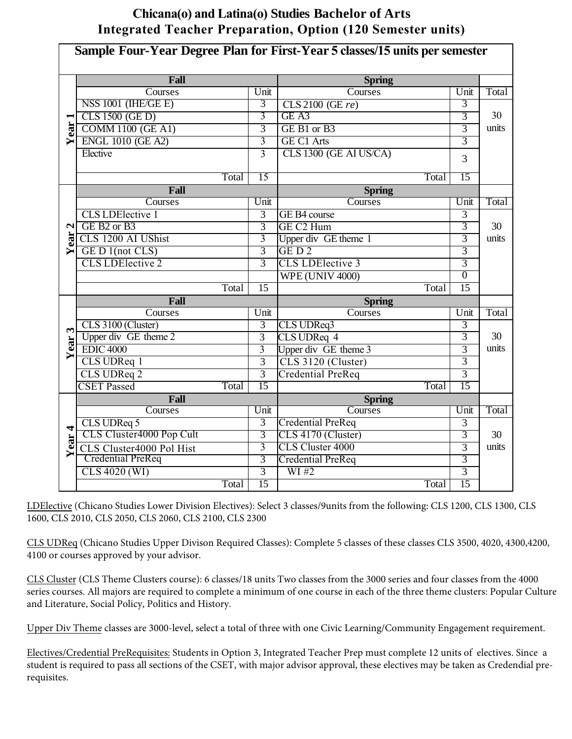## **Chicana(o) and Latina(o) Studies Bachelor of Arts Integrated Teacher Preparation, Option (120 Semester units)**

| Sample Four-Year Degree Plan for First-Year 5 classes/15 units per semester |                                     |                 |                          |                 |              |  |  |  |  |
|-----------------------------------------------------------------------------|-------------------------------------|-----------------|--------------------------|-----------------|--------------|--|--|--|--|
|                                                                             | Fall                                |                 | <b>Spring</b>            |                 |              |  |  |  |  |
|                                                                             | Courses                             | Unit            | Courses                  | Unit            | Total        |  |  |  |  |
|                                                                             | NSS 1001 (IHE/GE E)                 | 3               | $CLS$ 2100 (GE $re$ )    | 3               |              |  |  |  |  |
| $\blacksquare$                                                              | CLS 1500 (GE D)                     | 3               | GE A3                    | 3               | 30           |  |  |  |  |
| ear                                                                         | <b>COMM 1100 (GE A1)</b>            | $\overline{3}$  | GE B1 or B3              | $\overline{3}$  | units        |  |  |  |  |
| ↘                                                                           | <b>ENGL 1010 (GE A2)</b>            | 3               | <b>GE C1 Arts</b>        | $\overline{3}$  |              |  |  |  |  |
|                                                                             | Elective                            | $\overline{3}$  | CLS 1300 (GE AI US/CA)   | 3               |              |  |  |  |  |
|                                                                             | Total                               | 15              | Total                    | 15              |              |  |  |  |  |
|                                                                             | Fall                                |                 | <b>Spring</b>            |                 |              |  |  |  |  |
|                                                                             | Courses                             | Unit            | Courses                  | Unit            | <b>Total</b> |  |  |  |  |
|                                                                             | <b>CLS LDElective 1</b>             | $\overline{3}$  | GE B4 course             | $\overline{3}$  |              |  |  |  |  |
| $\mathbf{z}$                                                                | GE B <sub>2</sub> or B <sub>3</sub> | $\overline{3}$  | GE C <sub>2</sub> Hum    | 3               | 30           |  |  |  |  |
| ear                                                                         | CLS 1200 AI UShist                  | $\overline{3}$  | Upper div GE theme 1     | $\overline{3}$  | units        |  |  |  |  |
| Y                                                                           | GE D1(not CLS)                      | $\overline{3}$  | GED <sub>2</sub>         | $\overline{3}$  |              |  |  |  |  |
|                                                                             | <b>CLS LDElective 2</b>             | $\overline{3}$  | <b>CLS LDElective 3</b>  | $\overline{3}$  |              |  |  |  |  |
|                                                                             |                                     |                 | <b>WPE (UNIV 4000)</b>   | $\overline{0}$  |              |  |  |  |  |
|                                                                             | Total                               | $\overline{15}$ | Total                    | $\overline{15}$ |              |  |  |  |  |
|                                                                             | Fall<br>Courses                     | Unit            | <b>Spring</b><br>Courses | Unit            | Total        |  |  |  |  |
|                                                                             | CLS 3100 (Cluster)                  | 3               | CLS UDReq3               | $\overline{3}$  |              |  |  |  |  |
| $\mathbf{\tilde{5}}$                                                        | Upper div GE theme 2                | $\overline{3}$  | CLS UDReq 4              | 3               | 30           |  |  |  |  |
| <b>Year</b>                                                                 | <b>EDIC 4000</b>                    | $\overline{3}$  | Upper div GE theme 3     | $\overline{3}$  | units        |  |  |  |  |
|                                                                             | CLS UDReq 1                         | $\overline{3}$  | CLS 3120 (Cluster)       | $\overline{3}$  |              |  |  |  |  |
|                                                                             | CLS UDReq 2                         | $\overline{3}$  | <b>Credential PreReq</b> | $\overline{3}$  |              |  |  |  |  |
|                                                                             | <b>CSET Passed</b><br>Total         | 15              | Total                    | 15              |              |  |  |  |  |
|                                                                             | Fall                                |                 | <b>Spring</b>            |                 |              |  |  |  |  |
|                                                                             | Courses                             | Unit            | Courses                  | Unit            | Total        |  |  |  |  |
|                                                                             | CLS UDReq 5                         | $\overline{3}$  | <b>Credential PreReq</b> | $\overline{3}$  |              |  |  |  |  |
| 4                                                                           | CLS Cluster4000 Pop Cult            | 3               | CLS 4170 (Cluster)       | 3               | 30           |  |  |  |  |
| Year.                                                                       | CLS Cluster4000 Pol Hist            | $\overline{3}$  | <b>CLS Cluster 4000</b>  | $\overline{3}$  | units        |  |  |  |  |
|                                                                             | <b>Credential PreReq</b>            | 3               | <b>Credential PreReq</b> | 3               |              |  |  |  |  |
|                                                                             | CLS 4020 (WI)                       | $\overline{3}$  | W1#2                     | $\overline{3}$  |              |  |  |  |  |
|                                                                             | Total                               | 15              | Total                    | 15              |              |  |  |  |  |

LDElective (Chicano Studies Lower Division Electives): Select 3 classes/9units from the following: CLS 1200, CLS 1300, CLS 1600, CLS 2010, CLS 2050, CLS 2060, CLS 2100, CLS 2300

CLS UDReq (Chicano Studies Upper Divison Required Classes): Complete 5 classes of these classes CLS 3500, 4020, 4300,4200, 4100 or courses approved by your advisor.

CLS Cluster (CLS Theme Clusters course): 6 classes/18 units Two classes from the 3000 series and four classes from the 4000 series courses. All majors are required to complete a minimum of one course in each of the three theme clusters: Popular Culture and Literature, Social Policy, Politics and History.

Upper Div Theme classes are 3000-level, select a total of three with one Civic Learning/Community Engagement requirement.

Electives/Credential PreRequisites: Students in Option 3, Integrated Teacher Prep must complete 12 units of electives. Since a student is required to pass all sections of the CSET, with major advisor approval, these electives may be taken as Credendial prerequisites.